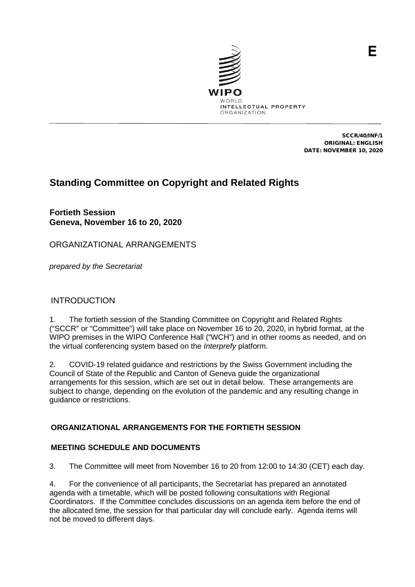

SCCR/40/INF/1 ORIGINAL: ENGLISH DATE: NOVEMBER 10, 2020

# **Standing Committee on Copyright and Related Rights**

**Fortieth Session Geneva, November 16 to 20, 2020**

ORGANIZATIONAL ARRANGEMENTS

*prepared by the Secretariat*

## INTRODUCTION

1. The fortieth session of the Standing Committee on Copyright and Related Rights ("SCCR" or "Committee") will take place on November 16 to 20, 2020, in hybrid format, at the WIPO premises in the WIPO Conference Hall ("WCH") and in other rooms as needed, and on the virtual conferencing system based on the *Interprefy* platform.

2. COVID-19 related guidance and restrictions by the Swiss Government including the Council of State of the Republic and Canton of Geneva guide the organizational arrangements for this session, which are set out in detail below. These arrangements are subject to change, depending on the evolution of the pandemic and any resulting change in guidance or restrictions.

## **ORGANIZATIONAL ARRANGEMENTS FOR THE FORTIETH SESSION**

## **MEETING SCHEDULE AND DOCUMENTS**

3. The Committee will meet from November 16 to 20 from 12:00 to 14:30 (CET) each day.

4. For the convenience of all participants, the Secretariat has prepared an annotated agenda with a timetable, which will be posted following consultations with Regional Coordinators. If the Committee concludes discussions on an agenda item before the end of the allocated time, the session for that particular day will conclude early. Agenda items will not be moved to different days.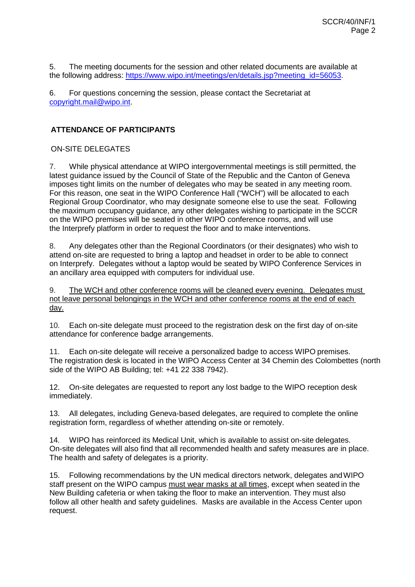5. The meeting documents for the session and other related documents are available at the following address: [https://www.wipo.int/meetings/en/details.jsp?meeting\\_id=56053.](https://www.wipo.int/meetings/en/details.jsp?meeting_id=56053)

6. For questions concerning the session, please contact the Secretariat at [copyright.mail@wipo.int.](mailto:copyright.mail@wipo.int)

#### **ATTENDANCE OF PARTICIPANTS**

#### ON-SITE DELEGATES

7. While physical attendance at WIPO intergovernmental meetings is still permitted, the latest guidance issued by the Council of State of the Republic and the Canton of Geneva imposes tight limits on the number of delegates who may be seated in any meeting room. For this reason, one seat in the WIPO Conference Hall ("WCH") will be allocated to each Regional Group Coordinator, who may designate someone else to use the seat. Following the maximum occupancy guidance, any other delegates wishing to participate in the SCCR on the WIPO premises will be seated in other WIPO conference rooms, and will use the Interprefy platform in order to request the floor and to make interventions.

8. Any delegates other than the Regional Coordinators (or their designates) who wish to attend on-site are requested to bring a laptop and headset in order to be able to connect on Interprefy. Delegates without a laptop would be seated by WIPO Conference Services in an ancillary area equipped with computers for individual use.

9. The WCH and other conference rooms will be cleaned every evening. Delegates must not leave personal belongings in the WCH and other conference rooms at the end of each day.

10. Each on-site delegate must proceed to the registration desk on the first day of on-site attendance for conference badge arrangements.

11. Each on-site delegate will receive a personalized badge to access WIPO premises. The registration desk is located in the WIPO Access Center at 34 Chemin des Colombettes (north side of the WIPO AB Building; tel: +41 22 338 7942).

12. On-site delegates are requested to report any lost badge to the WIPO reception desk immediately.

13. All delegates, including Geneva-based delegates, are required to complete the online registration form, regardless of whether attending on-site or remotely.

14. WIPO has reinforced its Medical Unit, which is available to assist on-site delegates. On-site delegates will also find that all recommended health and safety measures are in place. The health and safety of delegates is a priority.

15. Following recommendations by the UN medical directors network, delegates andWIPO staff present on the WIPO campus must wear masks at all times, except when seated in the New Building cafeteria or when taking the floor to make an intervention. They must also follow all other health and safety guidelines. Masks are available in the Access Center upon request.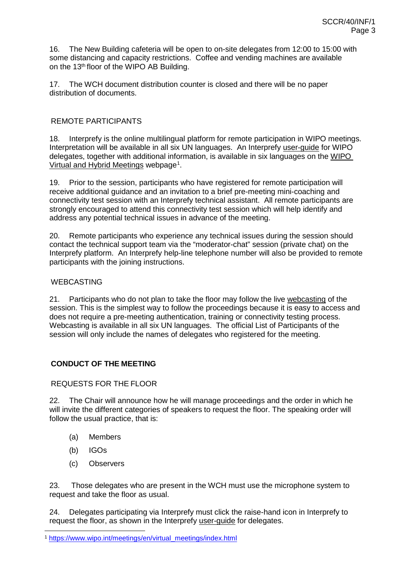16. The New Building cafeteria will be open to on-site delegates from 12:00 to 15:00 with some distancing and capacity restrictions. Coffee and vending machines are available on the 13<sup>th</sup> floor of the WIPO AB Building.

17. The WCH document distribution counter is closed and there will be no paper distribution of documents.

### REMOTE PARTICIPANTS

18. Interprefy is the online multilingual platform for remote participation in WIPO meetings. Interpretation will be available in all six UN languages. An Interprefy user-quide for WIPO delegates, together with additional information, is available in six languages on the [WIPO](https://www.wipo.int/meetings/en/virtual_meetings/index.html)  <u>[Virtual and](https://www.wipo.int/meetings/en/virtual_meetings/index.html) [Hybrid Meetings](https://www.wipo.int/meetings/en/virtual_meetings/index.html)</u> webpage<sup>[1](#page-2-0)</sup>.

19. Prior to the session, participants who have registered for remote participation will receive additional guidance and an invitation to a brief pre-meeting mini-coaching and connectivity test session with an Interprefy technical assistant. All remote participants are strongly encouraged to attend this connectivity test session which will help identify and address any potential technical issues in advance of the meeting.

20. Remote participants who experience any technical issues during the session should contact the technical support team via the "moderator-chat" session (private chat) on the Interprefy platform. An Interprefy help-line telephone number will also be provided to remote participants with the joining instructions.

#### WEBCASTING

21. Participants who do not plan to take the floor may follow the live [webcasting](https://www.wipo.int/webcasting/en/) of the session. This is the simplest way to follow the proceedings because it is easy to access and does not require a pre-meeting authentication, training or connectivity testing process. Webcasting is available in all six UN languages. The official List of Participants of the session will only include the names of delegates who registered for the meeting.

## **CONDUCT OF THE MEETING**

#### REQUESTS FOR THE FLOOR

22. The Chair will announce how he will manage proceedings and the order in which he will invite the different categories of speakers to request the floor. The speaking order will follow the usual practice, that is:

- (a) Members
- (b) IGOs
- (c) Observers

23. Those delegates who are present in the WCH must use the microphone system to request and take the floor as usual.

24. Delegates participating via Interprefy must click the raise-hand icon in Interprefy to request the floor, as shown in the Interprefy user-quide for delegates.

<span id="page-2-0"></span> <sup>1</sup> [https://www.wipo.int/meetings/en/virtual\\_meetings/index.html](https://www.wipo.int/meetings/en/virtual_meetings/index.html)